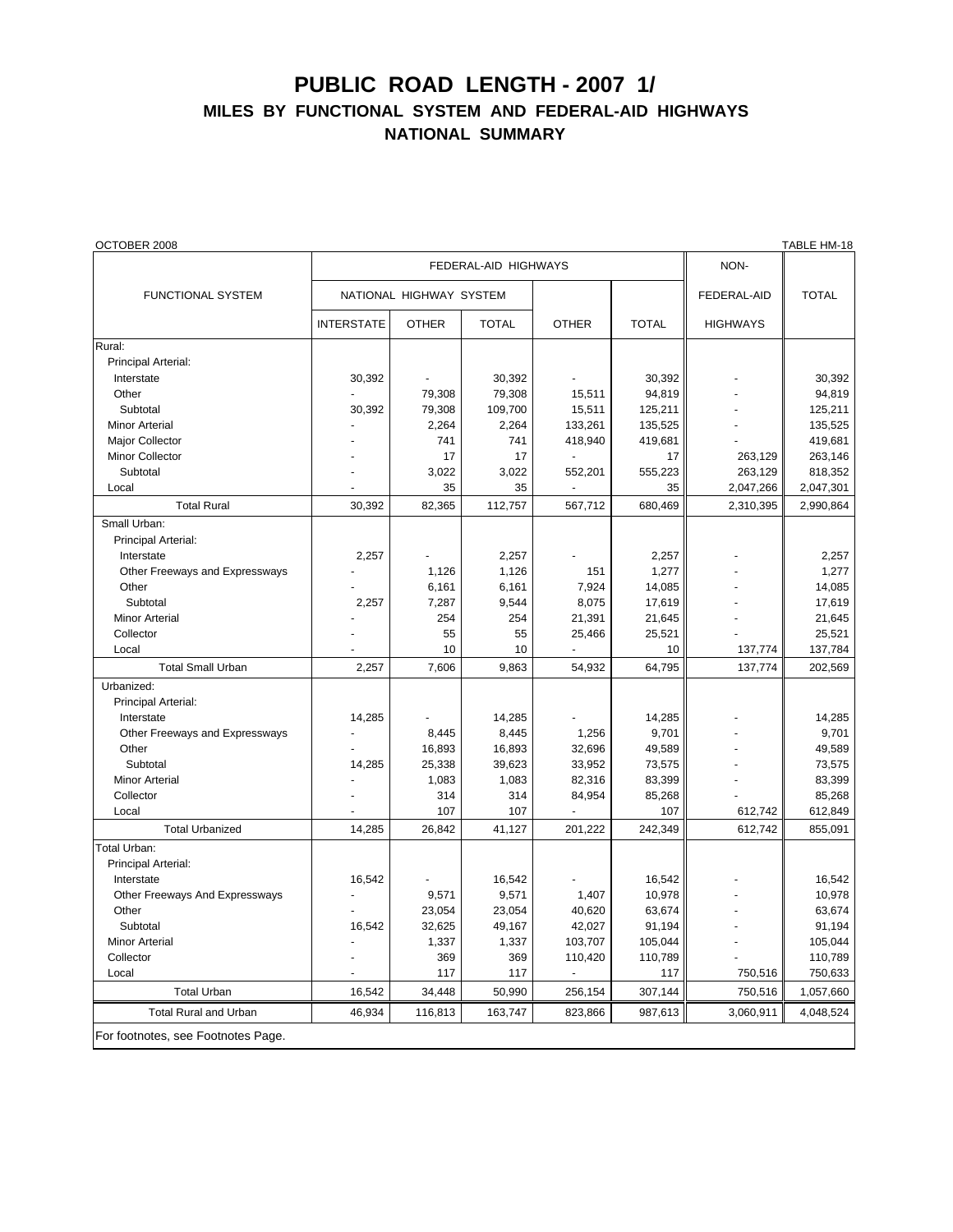## **PUBLIC ROAD LENGTH - 2007 1/ MILES BY FUNCTIONAL SYSTEM AND FEDERAL-AID HIGHWAYS NATIONAL SUMMARY**

| OCTOBER 2008                       |                         |              |              |                |              |                 | TABLE HM-18  |
|------------------------------------|-------------------------|--------------|--------------|----------------|--------------|-----------------|--------------|
|                                    | FEDERAL-AID HIGHWAYS    |              |              |                |              | NON-            |              |
| FUNCTIONAL SYSTEM                  | NATIONAL HIGHWAY SYSTEM |              |              |                |              | FEDERAL-AID     | <b>TOTAL</b> |
|                                    | <b>INTERSTATE</b>       | <b>OTHER</b> | <b>TOTAL</b> | <b>OTHER</b>   | <b>TOTAL</b> | <b>HIGHWAYS</b> |              |
| Rural:                             |                         |              |              |                |              |                 |              |
| Principal Arterial:                |                         |              |              |                |              |                 |              |
| Interstate                         | 30,392                  |              | 30,392       |                | 30,392       |                 | 30,392       |
| Other                              |                         | 79,308       | 79,308       | 15,511         | 94,819       |                 | 94,819       |
| Subtotal                           | 30,392                  | 79,308       | 109,700      | 15,511         | 125,211      |                 | 125,211      |
| <b>Minor Arterial</b>              |                         | 2,264        | 2,264        | 133,261        | 135,525      |                 | 135,525      |
| Major Collector                    |                         | 741          | 741          | 418,940        | 419,681      |                 | 419,681      |
| <b>Minor Collector</b>             |                         | 17           | 17           |                | 17           | 263,129         | 263,146      |
| Subtotal                           |                         | 3,022        | 3,022        | 552,201        | 555,223      | 263,129         | 818,352      |
| Local                              |                         | 35           | 35           |                | 35           | 2,047,266       | 2,047,301    |
| <b>Total Rural</b>                 | 30,392                  | 82,365       | 112,757      | 567,712        | 680,469      | 2,310,395       | 2,990,864    |
| Small Urban:                       |                         |              |              |                |              |                 |              |
| Principal Arterial:                |                         |              |              |                |              |                 |              |
| Interstate                         | 2,257                   |              | 2,257        |                | 2,257        |                 | 2,257        |
| Other Freeways and Expressways     |                         | 1,126        | 1,126        | 151            | 1,277        |                 | 1,277        |
| Other                              |                         | 6,161        | 6,161        | 7,924          | 14,085       |                 | 14,085       |
| Subtotal                           | 2,257                   | 7,287        | 9,544        | 8,075          | 17,619       |                 | 17,619       |
| <b>Minor Arterial</b>              |                         | 254          | 254          | 21,391         | 21,645       |                 | 21,645       |
| Collector                          |                         | 55           | 55           | 25,466         | 25,521       |                 | 25,521       |
| Local                              |                         | 10           | 10           |                | 10           | 137,774         | 137,784      |
| <b>Total Small Urban</b>           | 2,257                   | 7,606        | 9,863        | 54,932         | 64,795       | 137,774         | 202,569      |
| Urbanized:                         |                         |              |              |                |              |                 |              |
| Principal Arterial:                |                         |              |              |                |              |                 |              |
| Interstate                         | 14,285                  |              | 14,285       |                | 14,285       |                 | 14,285       |
| Other Freeways and Expressways     |                         | 8,445        | 8,445        | 1,256          | 9,701        |                 | 9.701        |
| Other                              |                         | 16,893       | 16,893       | 32,696         | 49,589       |                 | 49,589       |
| Subtotal                           | 14,285                  | 25,338       | 39,623       | 33,952         | 73,575       |                 | 73,575       |
| <b>Minor Arterial</b>              |                         | 1,083        | 1,083        | 82,316         | 83,399       |                 | 83,399       |
| Collector                          |                         | 314          | 314          | 84,954         | 85,268       |                 | 85,268       |
| Local                              |                         | 107          | 107          |                | 107          | 612,742         | 612,849      |
| <b>Total Urbanized</b>             | 14,285                  | 26,842       | 41,127       | 201,222        | 242,349      | 612,742         | 855,091      |
| Total Urban:                       |                         |              |              |                |              |                 |              |
| Principal Arterial:                |                         |              |              |                |              |                 |              |
| Interstate                         | 16,542                  |              | 16,542       |                | 16,542       |                 | 16,542       |
| Other Freeways And Expressways     |                         | 9,571        | 9,571        | 1,407          | 10,978       |                 | 10,978       |
| Other                              |                         | 23,054       | 23,054       | 40,620         | 63,674       |                 | 63,674       |
| Subtotal                           | 16,542                  | 32,625       | 49,167       | 42,027         | 91,194       |                 | 91,194       |
| <b>Minor Arterial</b>              |                         | 1,337        | 1,337        | 103,707        | 105,044      |                 | 105,044      |
| Collector                          |                         | 369          | 369          | 110,420        | 110,789      |                 | 110,789      |
| Local                              |                         | 117          | 117          | $\blacksquare$ | 117          | 750,516         | 750,633      |
| <b>Total Urban</b>                 | 16,542                  | 34,448       | 50,990       | 256,154        | 307,144      | 750,516         | 1,057,660    |
| <b>Total Rural and Urban</b>       | 46,934                  | 116,813      | 163,747      | 823,866        | 987,613      | 3,060,911       | 4,048,524    |
| For footnotes, see Footnotes Page. |                         |              |              |                |              |                 |              |
|                                    |                         |              |              |                |              |                 |              |